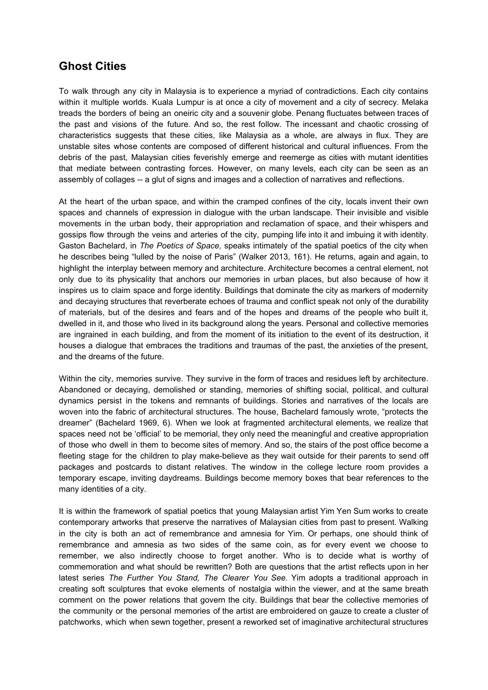## **Ghost Cities**

To walk through any city in Malaysia is to experience a myriad of contradictions. Each city contains within it multiple worlds. Kuala Lumpur is at once a city of movement and a city of secrecy. Melaka treads the borders of being an oneiric city and a souvenir globe. Penang fluctuates between traces of the past and visions of the future. And so, the rest follow. The incessant and chaotic crossing of characteristics suggests that these cities, like Malaysia as a whole, are always in flux. They are unstable sites whose contents are composed of different historical and cultural influences. From the debris of the past, Malaysian cities feverishly emerge and reemerge as cities with mutant identities that mediate between contrasting forces. However, on many levels, each city can be seen as an assembly of collages -- a glut of signs and images and a collection of narratives and reflections.

At the heart of the urban space, and within the cramped confines of the city, locals invent their own spaces and channels of expression in dialogue with the urban landscape. Their invisible and visible movements in the urban body, their appropriation and reclamation of space, and their whispers and gossips flow through the veins and arteries of the city, pumping life into it and imbuing it with identity. Gaston Bachelard, in *The Poetics of Space,* speaks intimately of the spatial poetics of the city when he describes being "lulled by the noise of Paris" (Walker 2013, 161). He returns, again and again, to highlight the interplay between memory and architecture. Architecture becomes a central element, not only due to its physicality that anchors our memories in urban places, but also because of how it inspires us to claim space and forge identity. Buildings that dominate the city as markers of modernity and decaying structures that reverberate echoes of trauma and conflict speak not only of the durability of materials, but of the desires and fears and of the hopes and dreams of the people who built it, dwelled in it, and those who lived in its background along the years. Personal and collective memories are ingrained in each building, and from the moment of its initiation to the event of its destruction, it houses a dialogue that embraces the traditions and traumas of the past, the anxieties of the present, and the dreams of the future.

Within the city, memories survive. They survive in the form of traces and residues left by architecture. Abandoned or decaying, demolished or standing, memories of shifting social, political, and cultural dynamics persist in the tokens and remnants of buildings. Stories and narratives of the locals are woven into the fabric of architectural structures. The house, Bachelard famously wrote, "protects the dreamer" (Bachelard 1969, 6). When we look at fragmented architectural elements, we realize that spaces need not be 'official' to be memorial, they only need the meaningful and creative appropriation of those who dwell in them to become sites of memory. And so, the stairs of the post office become a fleeting stage for the children to play make-believe as they wait outside for their parents to send off packages and postcards to distant relatives. The window in the college lecture room provides a temporary escape, inviting daydreams. Buildings become memory boxes that bear references to the many identities of a city.

It is within the framework of spatial poetics that young Malaysian artist Yim Yen Sum works to create contemporary artworks that preserve the narratives of Malaysian cities from past to present. Walking in the city is both an act of remembrance and amnesia for Yim. Or perhaps, one should think of remembrance and amnesia as two sides of the same coin, as for every event we choose to remember, we also indirectly choose to forget another. Who is to decide what is worthy of commemoration and what should be rewritten? Both are questions that the artist reflects upon in her latest series *The Further You Stand, The Clearer You See.* Yim adopts a traditional approach in creating soft sculptures that evoke elements of nostalgia within the viewer, and at the same breath comment on the power relations that govern the city. Buildings that bear the collective memories of the community or the personal memories of the artist are embroidered on gauze to create a cluster of patchworks, which when sewn together, present a reworked set of imaginative architectural structures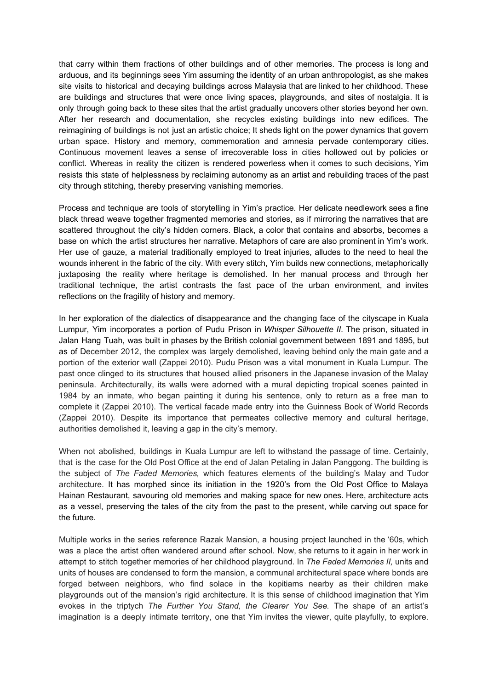that carry within them fractions of other buildings and of other memories. The process is long and arduous, and its beginnings sees Yim assuming the identity of an urban anthropologist, as she makes site visits to historical and decaying buildings across Malaysia that are linked to her childhood. These are buildings and structures that were once living spaces, playgrounds, and sites of nostalgia. It is only through going back to these sites that the artist gradually uncovers other stories beyond her own. After her research and documentation, she recycles existing buildings into new edifices. The reimagining of buildings is not just an artistic choice; It sheds light on the power dynamics that govern urban space. History and memory, commemoration and amnesia pervade contemporary cities. Continuous movement leaves a sense of irrecoverable loss in cities hollowed out by policies or conflict. Whereas in reality the citizen is rendered powerless when it comes to such decisions, Yim resists this state of helplessness by reclaiming autonomy as an artist and rebuilding traces of the past city through stitching, thereby preserving vanishing memories.

Process and technique are tools of storytelling in Yim's practice. Her delicate needlework sees a fine black thread weave together fragmented memories and stories, as if mirroring the narratives that are scattered throughout the city's hidden corners. Black, a color that contains and absorbs, becomes a base on which the artist structures her narrative. Metaphors of care are also prominent in Yim's work. Her use of gauze, a material traditionally employed to treat injuries, alludes to the need to heal the wounds inherent in the fabric of the city. With every stitch, Yim builds new connections, metaphorically juxtaposing the reality where heritage is demolished. In her manual process and through her traditional technique, the artist contrasts the fast pace of the urban environment, and invites reflections on the fragility of history and memory.

In her exploration of the dialectics of disappearance and the changing face of the cityscape in Kuala Lumpur, Yim incorporates a portion of Pudu Prison in *Whisper Silhouette II*. The prison, situated in Jalan Hang Tuah, was built in phases by the British colonial government between 1891 and 1895, but as of December 2012, the complex was largely demolished, leaving behind only the main gate and a portion of the exterior wall (Zappei 2010). Pudu Prison was a vital monument in Kuala Lumpur. The past once clinged to its structures that housed allied prisoners in the Japanese invasion of the Malay peninsula. Architecturally, its walls were adorned with a mural depicting tropical scenes painted in 1984 by an inmate, who began painting it during his sentence, only to return as a free man to complete it (Zappei 2010). The vertical facade made entry into the Guinness Book of World Records (Zappei 2010). Despite its importance that permeates collective memory and cultural heritage, authorities demolished it, leaving a gap in the city's memory.

When not abolished, buildings in Kuala Lumpur are left to withstand the passage of time. Certainly, that is the case for the Old Post Office at the end of Jalan Petaling in Jalan Panggong. The building is the subject of *The Faded Memories,* which features elements of the building's Malay and Tudor architecture. It has morphed since its initiation in the 1920's from the Old Post Office to Malaya Hainan Restaurant, savouring old memories and making space for new ones. Here, architecture acts as a vessel, preserving the tales of the city from the past to the present, while carving out space for the future.

Multiple works in the series reference Razak Mansion, a housing project launched in the '60s, which was a place the artist often wandered around after school. Now, she returns to it again in her work in attempt to stitch together memories of her childhood playground. In *The Faded Memories II,* units and units of houses are condensed to form the mansion, a communal architectural space where bonds are forged between neighbors, who find solace in the kopitiams nearby as their children make playgrounds out of the mansion's rigid architecture. It is this sense of childhood imagination that Yim evokes in the triptych *The Further You Stand, the Clearer You See.* The shape of an artist's imagination is a deeply intimate territory, one that Yim invites the viewer, quite playfully, to explore.